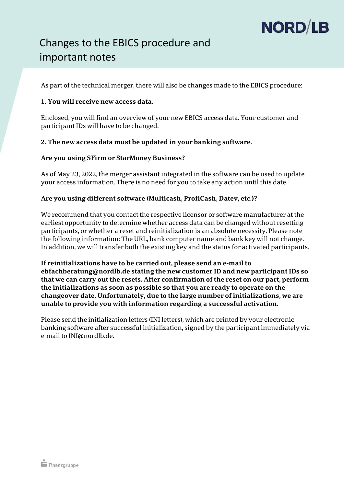# NORD/LB

## Changes to the EBICS procedure and important notes

As part of the technical merger, there will also be changes made to the EBICS procedure:

### **1. You will receive new access data.**

Enclosed, you will find an overview of your new EBICS access data. Your customer and participant IDs will have to be changed.

#### **2. The new access data must be updated in your banking software.**

#### **Are you using SFirm or StarMoney Business?**

As of May 23, 2022, the merger assistant integrated in the software can be used to update your access information. There is no need for you to take any action until this date.

#### **Are you using different software (Multicash, ProfiCash, Datev, etc.)?**

We recommend that you contact the respective licensor or software manufacturer at the earliest opportunity to determine whether access data can be changed without resetting participants, or whether a reset and reinitialization is an absolute necessity. Please note the following information: The URL, bank computer name and bank key will not change. In addition, we will transfer both the existing key and the status for activated participants.

**If reinitializations have to be carried out, please send an e-mail to ebfachberatung@nordlb.de stating the new customer ID and new participant IDs so that we can carry out the resets. After confirmation of the reset on our part, perform the initializations as soon as possible so that you are ready to operate on the changeover date. Unfortunately, due to the large number of initializations, we are unable to provide you with information regarding a successful activation.** 

Please send the initialization letters (INI letters), which are printed by your electronic banking software after successful initialization, signed by the participant immediately via e-mail to INI@nordlb.de.